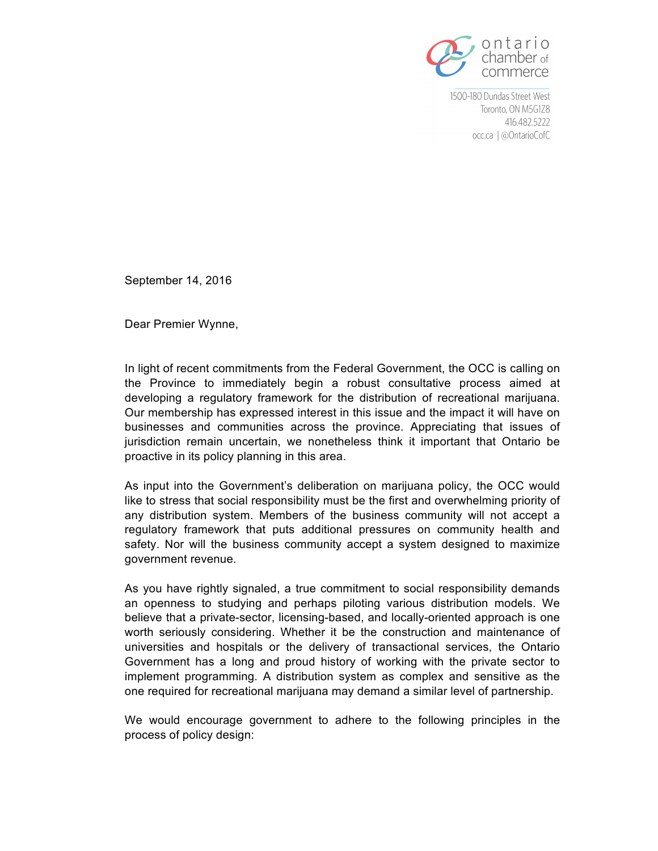

September 14, 2016

Dear Premier Wynne,

In light of recent commitments from the Federal Government, the OCC is calling on the Province to immediately begin a robust consultative process aimed at developing a regulatory framework for the distribution of recreational marijuana. Our membership has expressed interest in this issue and the impact it will have on businesses and communities across the province. Appreciating that issues of jurisdiction remain uncertain, we nonetheless think it important that Ontario be proactive in its policy planning in this area.

As input into the Government's deliberation on marijuana policy, the OCC would like to stress that social responsibility must be the first and overwhelming priority of any distribution system. Members of the business community will not accept a regulatory framework that puts additional pressures on community health and safety. Nor will the business community accept a system designed to maximize government revenue.

As you have rightly signaled, a true commitment to social responsibility demands an openness to studying and perhaps piloting various distribution models. We believe that a private-sector, licensing-based, and locally-oriented approach is one worth seriously considering. Whether it be the construction and maintenance of universities and hospitals or the delivery of transactional services, the Ontario Government has a long and proud history of working with the private sector to implement programming. A distribution system as complex and sensitive as the one required for recreational marijuana may demand a similar level of partnership.

We would encourage government to adhere to the following principles in the process of policy design: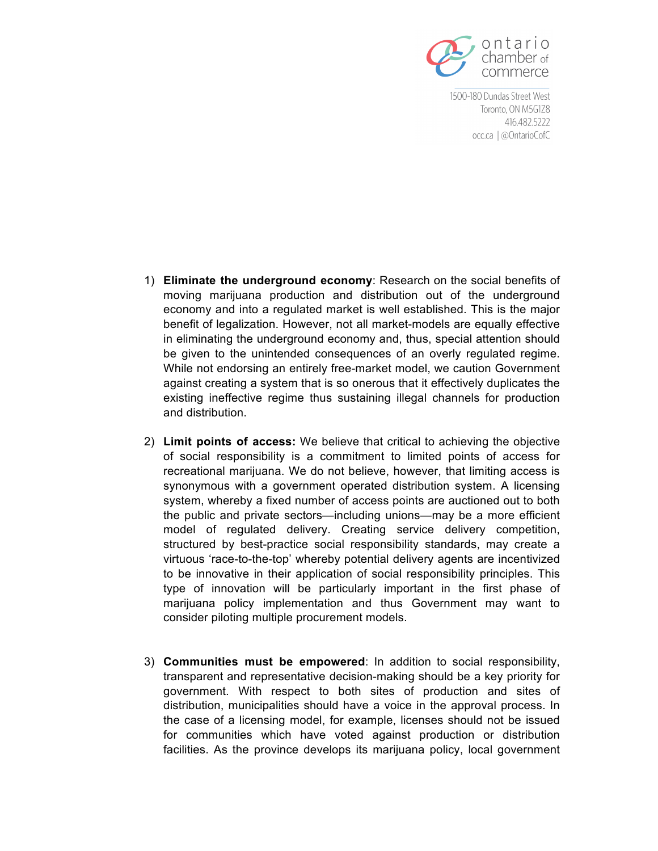

- 1) **Eliminate the underground economy**: Research on the social benefits of moving marijuana production and distribution out of the underground economy and into a regulated market is well established. This is the major benefit of legalization. However, not all market-models are equally effective in eliminating the underground economy and, thus, special attention should be given to the unintended consequences of an overly regulated regime. While not endorsing an entirely free-market model, we caution Government against creating a system that is so onerous that it effectively duplicates the existing ineffective regime thus sustaining illegal channels for production and distribution.
- 2) **Limit points of access:** We believe that critical to achieving the objective of social responsibility is a commitment to limited points of access for recreational marijuana. We do not believe, however, that limiting access is synonymous with a government operated distribution system. A licensing system, whereby a fixed number of access points are auctioned out to both the public and private sectors—including unions—may be a more efficient model of regulated delivery. Creating service delivery competition, structured by best-practice social responsibility standards, may create a virtuous 'race-to-the-top' whereby potential delivery agents are incentivized to be innovative in their application of social responsibility principles. This type of innovation will be particularly important in the first phase of marijuana policy implementation and thus Government may want to consider piloting multiple procurement models.
- 3) **Communities must be empowered**: In addition to social responsibility, transparent and representative decision-making should be a key priority for government. With respect to both sites of production and sites of distribution, municipalities should have a voice in the approval process. In the case of a licensing model, for example, licenses should not be issued for communities which have voted against production or distribution facilities. As the province develops its marijuana policy, local government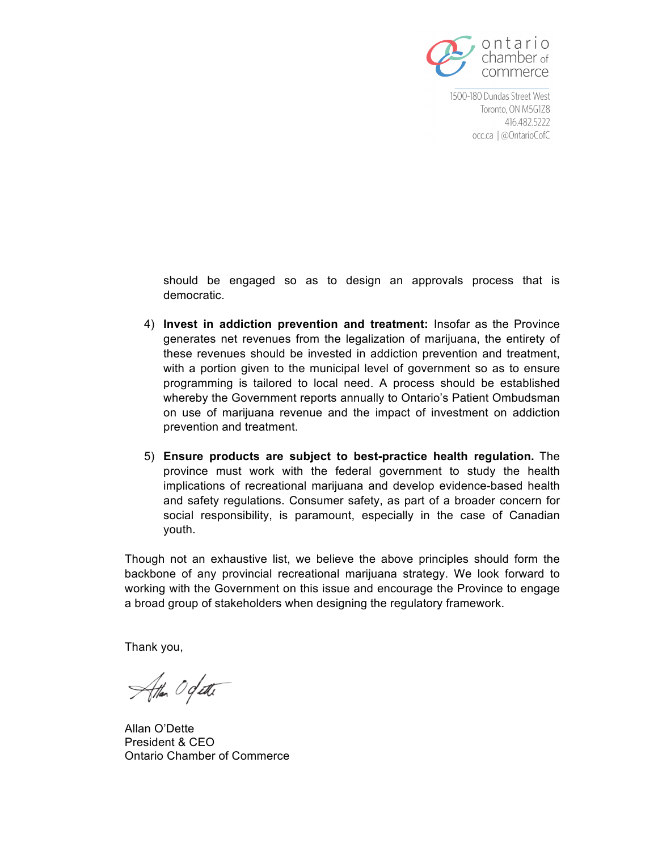

should be engaged so as to design an approvals process that is democratic.

- 4) **Invest in addiction prevention and treatment:** Insofar as the Province generates net revenues from the legalization of marijuana, the entirety of these revenues should be invested in addiction prevention and treatment, with a portion given to the municipal level of government so as to ensure programming is tailored to local need. A process should be established whereby the Government reports annually to Ontario's Patient Ombudsman on use of marijuana revenue and the impact of investment on addiction prevention and treatment.
- 5) **Ensure products are subject to best-practice health regulation.** The province must work with the federal government to study the health implications of recreational marijuana and develop evidence-based health and safety regulations. Consumer safety, as part of a broader concern for social responsibility, is paramount, especially in the case of Canadian youth.

Though not an exhaustive list, we believe the above principles should form the backbone of any provincial recreational marijuana strategy. We look forward to working with the Government on this issue and encourage the Province to engage a broad group of stakeholders when designing the regulatory framework.

Thank you,

Atten Ogatti

Allan O'Dette President & CEO Ontario Chamber of Commerce